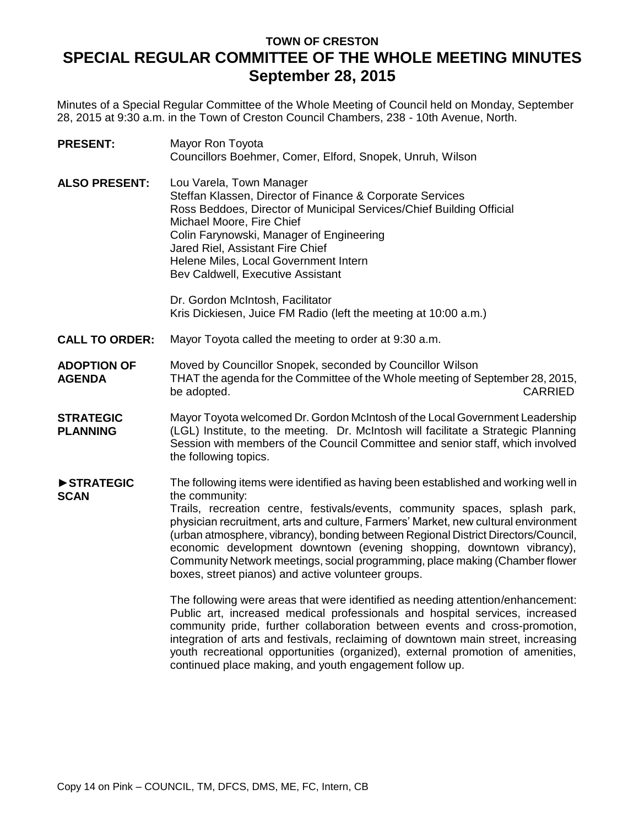# **TOWN OF CRESTON SPECIAL REGULAR COMMITTEE OF THE WHOLE MEETING MINUTES September 28, 2015**

Minutes of a Special Regular Committee of the Whole Meeting of Council held on Monday, September 28, 2015 at 9:30 a.m. in the Town of Creston Council Chambers, 238 - 10th Avenue, North.

| <b>PRESENT:</b>                     | Mayor Ron Toyota<br>Councillors Boehmer, Comer, Elford, Snopek, Unruh, Wilson                                                                                                                                                                                                                                                                                                                                                                                                                                                                                                                                                                                                                                                                                                                                                                                                                                       |  |
|-------------------------------------|---------------------------------------------------------------------------------------------------------------------------------------------------------------------------------------------------------------------------------------------------------------------------------------------------------------------------------------------------------------------------------------------------------------------------------------------------------------------------------------------------------------------------------------------------------------------------------------------------------------------------------------------------------------------------------------------------------------------------------------------------------------------------------------------------------------------------------------------------------------------------------------------------------------------|--|
| <b>ALSO PRESENT:</b>                | Lou Varela, Town Manager<br>Steffan Klassen, Director of Finance & Corporate Services<br>Ross Beddoes, Director of Municipal Services/Chief Building Official<br>Michael Moore, Fire Chief<br>Colin Farynowski, Manager of Engineering<br>Jared Riel, Assistant Fire Chief<br>Helene Miles, Local Government Intern<br>Bev Caldwell, Executive Assistant                                                                                                                                                                                                                                                                                                                                                                                                                                                                                                                                                            |  |
|                                     | Dr. Gordon McIntosh, Facilitator<br>Kris Dickiesen, Juice FM Radio (left the meeting at 10:00 a.m.)                                                                                                                                                                                                                                                                                                                                                                                                                                                                                                                                                                                                                                                                                                                                                                                                                 |  |
| <b>CALL TO ORDER:</b>               | Mayor Toyota called the meeting to order at 9:30 a.m.                                                                                                                                                                                                                                                                                                                                                                                                                                                                                                                                                                                                                                                                                                                                                                                                                                                               |  |
| <b>ADOPTION OF</b><br><b>AGENDA</b> | Moved by Councillor Snopek, seconded by Councillor Wilson<br>THAT the agenda for the Committee of the Whole meeting of September 28, 2015,<br><b>CARRIED</b><br>be adopted.                                                                                                                                                                                                                                                                                                                                                                                                                                                                                                                                                                                                                                                                                                                                         |  |
| <b>STRATEGIC</b><br><b>PLANNING</b> | Mayor Toyota welcomed Dr. Gordon McIntosh of the Local Government Leadership<br>(LGL) Institute, to the meeting. Dr. McIntosh will facilitate a Strategic Planning<br>Session with members of the Council Committee and senior staff, which involved<br>the following topics.                                                                                                                                                                                                                                                                                                                                                                                                                                                                                                                                                                                                                                       |  |
| STRATEGIC<br><b>SCAN</b>            | The following items were identified as having been established and working well in<br>the community:<br>Trails, recreation centre, festivals/events, community spaces, splash park,<br>physician recruitment, arts and culture, Farmers' Market, new cultural environment<br>(urban atmosphere, vibrancy), bonding between Regional District Directors/Council,<br>economic development downtown (evening shopping, downtown vibrancy),<br>Community Network meetings, social programming, place making (Chamber flower<br>boxes, street pianos) and active volunteer groups.<br>The following were areas that were identified as needing attention/enhancement:<br>Public art, increased medical professionals and hospital services, increased<br>community pride, further collaboration between events and cross-promotion,<br>integration of arts and festivals, reclaiming of downtown main street, increasing |  |
|                                     | youth recreational opportunities (organized), external promotion of amenities,<br>continued place making, and youth engagement follow up.                                                                                                                                                                                                                                                                                                                                                                                                                                                                                                                                                                                                                                                                                                                                                                           |  |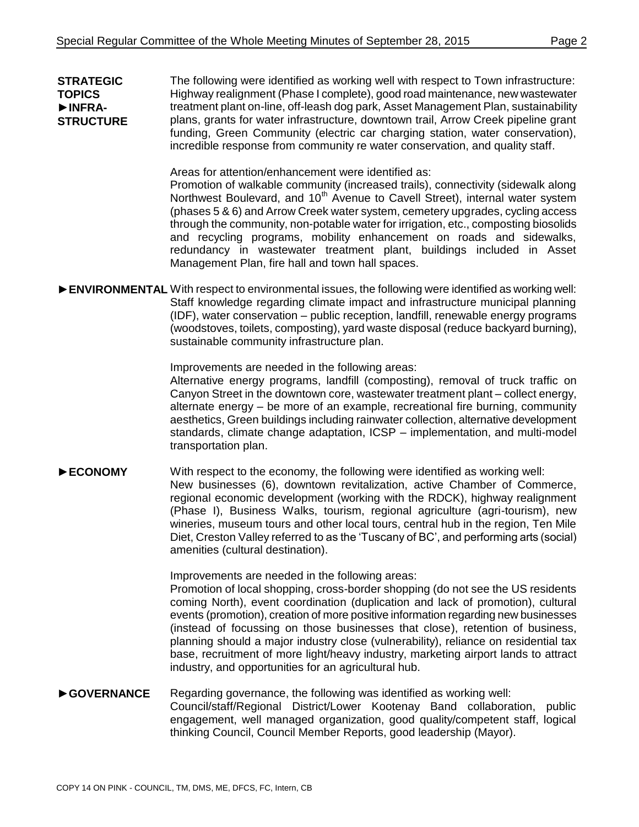**STRATEGIC TOPICS** ►**INFRA-STRUCTURE** The following were identified as working well with respect to Town infrastructure: Highway realignment (Phase I complete), good road maintenance, new wastewater treatment plant on-line, off-leash dog park, Asset Management Plan, sustainability plans, grants for water infrastructure, downtown trail, Arrow Creek pipeline grant funding, Green Community (electric car charging station, water conservation), incredible response from community re water conservation, and quality staff.

Areas for attention/enhancement were identified as:

Promotion of walkable community (increased trails), connectivity (sidewalk along Northwest Boulevard, and 10<sup>th</sup> Avenue to Cavell Street), internal water system (phases 5 & 6) and Arrow Creek water system, cemetery upgrades, cycling access through the community, non-potable water for irrigation, etc., composting biosolids and recycling programs, mobility enhancement on roads and sidewalks, redundancy in wastewater treatment plant, buildings included in Asset Management Plan, fire hall and town hall spaces.

► **ENVIRONMENTAL** With respect to environmental issues, the following were identified as working well: Staff knowledge regarding climate impact and infrastructure municipal planning (IDF), water conservation – public reception, landfill, renewable energy programs (woodstoves, toilets, composting), yard waste disposal (reduce backyard burning), sustainable community infrastructure plan.

Improvements are needed in the following areas:

Alternative energy programs, landfill (composting), removal of truck traffic on Canyon Street in the downtown core, wastewater treatment plant – collect energy, alternate energy – be more of an example, recreational fire burning, community aesthetics, Green buildings including rainwater collection, alternative development standards, climate change adaptation, ICSP – implementation, and multi-model transportation plan.

►**ECONOMY** With respect to the economy, the following were identified as working well: New businesses (6), downtown revitalization, active Chamber of Commerce, regional economic development (working with the RDCK), highway realignment (Phase I), Business Walks, tourism, regional agriculture (agri-tourism), new wineries, museum tours and other local tours, central hub in the region, Ten Mile Diet, Creston Valley referred to as the 'Tuscany of BC', and performing arts (social) amenities (cultural destination).

Improvements are needed in the following areas:

Promotion of local shopping, cross-border shopping (do not see the US residents coming North), event coordination (duplication and lack of promotion), cultural events (promotion), creation of more positive information regarding new businesses (instead of focussing on those businesses that close), retention of business, planning should a major industry close (vulnerability), reliance on residential tax base, recruitment of more light/heavy industry, marketing airport lands to attract industry, and opportunities for an agricultural hub.

#### ►**GOVERNANCE** Regarding governance, the following was identified as working well: Council/staff/Regional District/Lower Kootenay Band collaboration, public engagement, well managed organization, good quality/competent staff, logical thinking Council, Council Member Reports, good leadership (Mayor).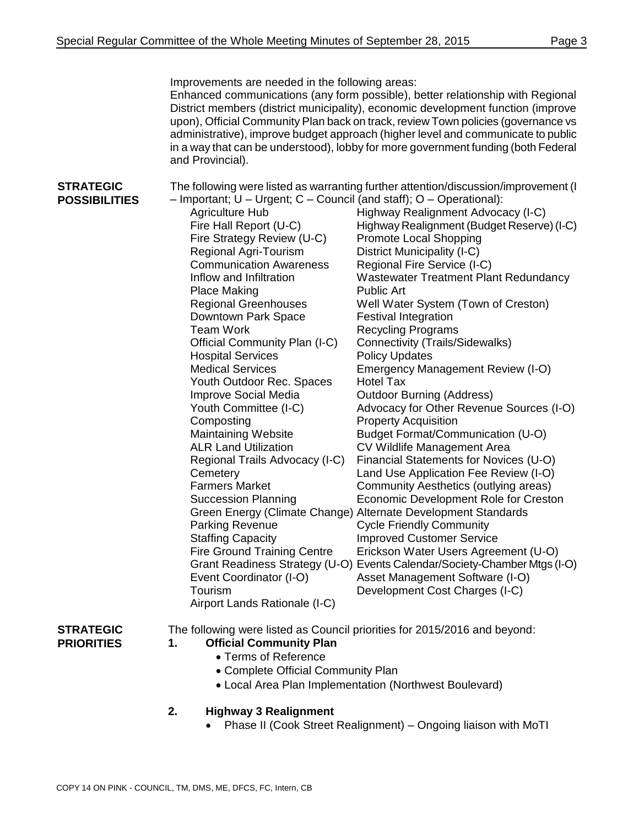|                                          | Improvements are needed in the following areas:<br>and Provincial).                                                                                                                                                                                                                                                                                                                                                                                                                                                                                                                                                                                                                                                                                                                                                                                                   | Enhanced communications (any form possible), better relationship with Regional<br>District members (district municipality), economic development function (improve<br>upon), Official Community Plan back on track, review Town policies (governance vs<br>administrative), improve budget approach (higher level and communicate to public<br>in a way that can be understood), lobby for more government funding (both Federal                                                                                                                                                                                                                                                                                                                                                                                                                                                                                                                                                                                                                                                                                                                                                                                                                              |
|------------------------------------------|-----------------------------------------------------------------------------------------------------------------------------------------------------------------------------------------------------------------------------------------------------------------------------------------------------------------------------------------------------------------------------------------------------------------------------------------------------------------------------------------------------------------------------------------------------------------------------------------------------------------------------------------------------------------------------------------------------------------------------------------------------------------------------------------------------------------------------------------------------------------------|---------------------------------------------------------------------------------------------------------------------------------------------------------------------------------------------------------------------------------------------------------------------------------------------------------------------------------------------------------------------------------------------------------------------------------------------------------------------------------------------------------------------------------------------------------------------------------------------------------------------------------------------------------------------------------------------------------------------------------------------------------------------------------------------------------------------------------------------------------------------------------------------------------------------------------------------------------------------------------------------------------------------------------------------------------------------------------------------------------------------------------------------------------------------------------------------------------------------------------------------------------------|
| <b>STRATEGIC</b><br><b>POSSIBILITIES</b> | - Important; U - Urgent; C - Council (and staff); O - Operational):<br><b>Agriculture Hub</b><br>Fire Hall Report (U-C)<br>Fire Strategy Review (U-C)<br><b>Regional Agri-Tourism</b><br><b>Communication Awareness</b><br>Inflow and Infiltration<br><b>Place Making</b><br><b>Regional Greenhouses</b><br>Downtown Park Space<br><b>Team Work</b><br>Official Community Plan (I-C)<br><b>Hospital Services</b><br><b>Medical Services</b><br>Youth Outdoor Rec. Spaces<br>Improve Social Media<br>Youth Committee (I-C)<br>Composting<br><b>Maintaining Website</b><br><b>ALR Land Utilization</b><br>Regional Trails Advocacy (I-C)<br>Cemetery<br><b>Farmers Market</b><br><b>Succession Planning</b><br>Parking Revenue<br><b>Staffing Capacity</b><br><b>Fire Ground Training Centre</b><br>Event Coordinator (I-O)<br>Tourism<br>Airport Lands Rationale (I-C) | The following were listed as warranting further attention/discussion/improvement (I<br>Highway Realignment Advocacy (I-C)<br>Highway Realignment (Budget Reserve) (I-C)<br>Promote Local Shopping<br>District Municipality (I-C)<br>Regional Fire Service (I-C)<br><b>Wastewater Treatment Plant Redundancy</b><br><b>Public Art</b><br>Well Water System (Town of Creston)<br><b>Festival Integration</b><br><b>Recycling Programs</b><br><b>Connectivity (Trails/Sidewalks)</b><br><b>Policy Updates</b><br>Emergency Management Review (I-O)<br><b>Hotel Tax</b><br><b>Outdoor Burning (Address)</b><br>Advocacy for Other Revenue Sources (I-O)<br><b>Property Acquisition</b><br>Budget Format/Communication (U-O)<br>CV Wildlife Management Area<br>Financial Statements for Novices (U-O)<br>Land Use Application Fee Review (I-O)<br>Community Aesthetics (outlying areas)<br>Economic Development Role for Creston<br>Green Energy (Climate Change) Alternate Development Standards<br><b>Cycle Friendly Community</b><br><b>Improved Customer Service</b><br>Erickson Water Users Agreement (U-O)<br>Grant Readiness Strategy (U-O) Events Calendar/Society-Chamber Mtgs (I-O)<br>Asset Management Software (I-O)<br>Development Cost Charges (I-C) |

**STRATEGIC PRIORITIES**

## The following were listed as Council priorities for 2015/2016 and beyond:

#### **1. Official Community Plan**

- Terms of Reference
- Complete Official Community Plan
- Local Area Plan Implementation (Northwest Boulevard)
- **2. Highway 3 Realignment**
	- Phase II (Cook Street Realignment) Ongoing liaison with MoTI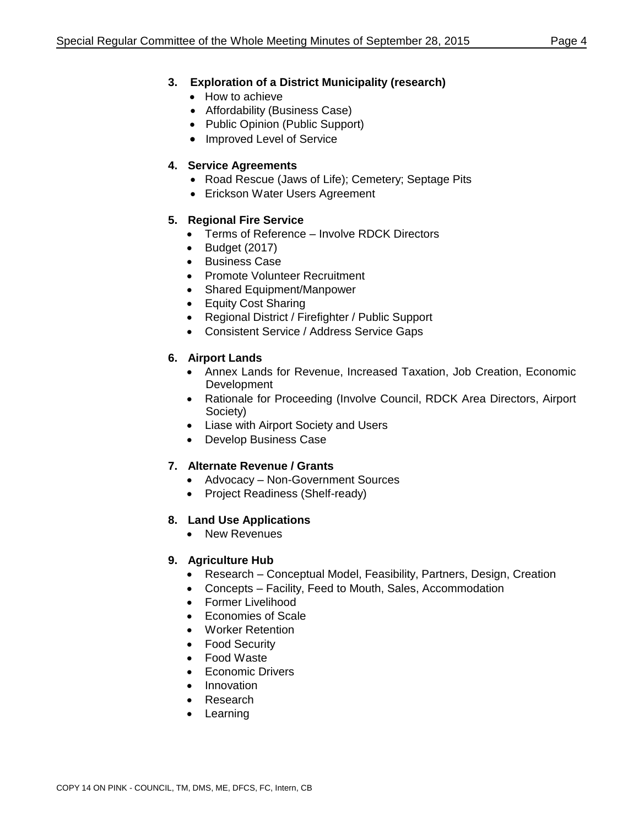## **3. Exploration of a District Municipality (research)**

- How to achieve
- Affordability (Business Case)
- Public Opinion (Public Support)
- Improved Level of Service

## **4. Service Agreements**

- Road Rescue (Jaws of Life); Cemetery; Septage Pits
- Erickson Water Users Agreement

## **5. Regional Fire Service**

- Terms of Reference Involve RDCK Directors
- $\bullet$  Budget (2017)
- **•** Business Case
- Promote Volunteer Recruitment
- Shared Equipment/Manpower
- Equity Cost Sharing
- Regional District / Firefighter / Public Support
- Consistent Service / Address Service Gaps

## **6. Airport Lands**

- Annex Lands for Revenue, Increased Taxation, Job Creation, Economic Development
- Rationale for Proceeding (Involve Council, RDCK Area Directors, Airport Society)
- Liase with Airport Society and Users
- Develop Business Case

## **7. Alternate Revenue / Grants**

- Advocacy Non-Government Sources
- Project Readiness (Shelf-ready)

## **8. Land Use Applications**

• New Revenues

## **9. Agriculture Hub**

- Research Conceptual Model, Feasibility, Partners, Design, Creation
- Concepts Facility, Feed to Mouth, Sales, Accommodation
- Former Livelihood
- Economies of Scale
- Worker Retention
- Food Security
- Food Waste
- Economic Drivers
- Innovation
- Research
- Learning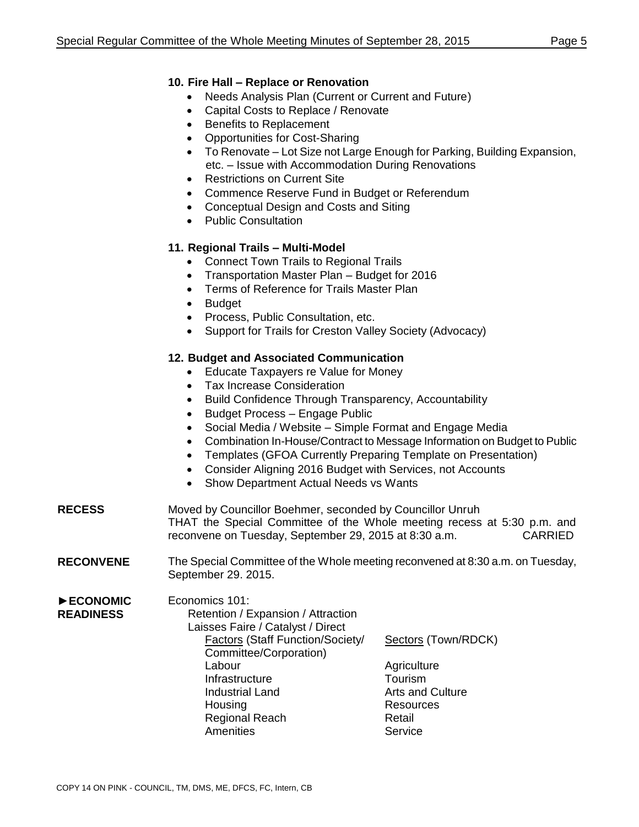#### **10. Fire Hall – Replace or Renovation**

- Needs Analysis Plan (Current or Current and Future)
- Capital Costs to Replace / Renovate
- Benefits to Replacement
- Opportunities for Cost-Sharing
- To Renovate Lot Size not Large Enough for Parking, Building Expansion, etc. – Issue with Accommodation During Renovations
- Restrictions on Current Site
- Commence Reserve Fund in Budget or Referendum
- Conceptual Design and Costs and Siting
- Public Consultation

## **11. Regional Trails – Multi-Model**

- Connect Town Trails to Regional Trails
- Transportation Master Plan Budget for 2016
- Terms of Reference for Trails Master Plan
- Budget
- Process, Public Consultation, etc.
- Support for Trails for Creston Valley Society (Advocacy)

#### **12. Budget and Associated Communication**

- Educate Taxpayers re Value for Money
- Tax Increase Consideration
- Build Confidence Through Transparency, Accountability
- Budget Process Engage Public
- Social Media / Website Simple Format and Engage Media
- Combination In-House/Contract to Message Information on Budget to Public
- Templates (GFOA Currently Preparing Template on Presentation)
- Consider Aligning 2016 Budget with Services, not Accounts
- Show Department Actual Needs vs Wants
- **RECESS** Moved by Councillor Boehmer, seconded by Councillor Unruh THAT the Special Committee of the Whole meeting recess at 5:30 p.m. and reconvene on Tuesday, September 29, 2015 at 8:30 a.m. CARRIED
- **RECONVENE** The Special Committee of the Whole meeting reconvened at 8:30 a.m. on Tuesday, September 29. 2015.
- ►**ECONOMIC READINESS** Economics 101: Retention / Expansion / Attraction Laisses Faire / Catalyst / Direct Factors (Staff Function/Society/ Sectors (Town/RDCK) Committee/Corporation) Labour **Agriculture** Infrastructure Tourism Industrial Land **Arts** and Culture Housing **Resources** Regional Reach Retail Amenities Service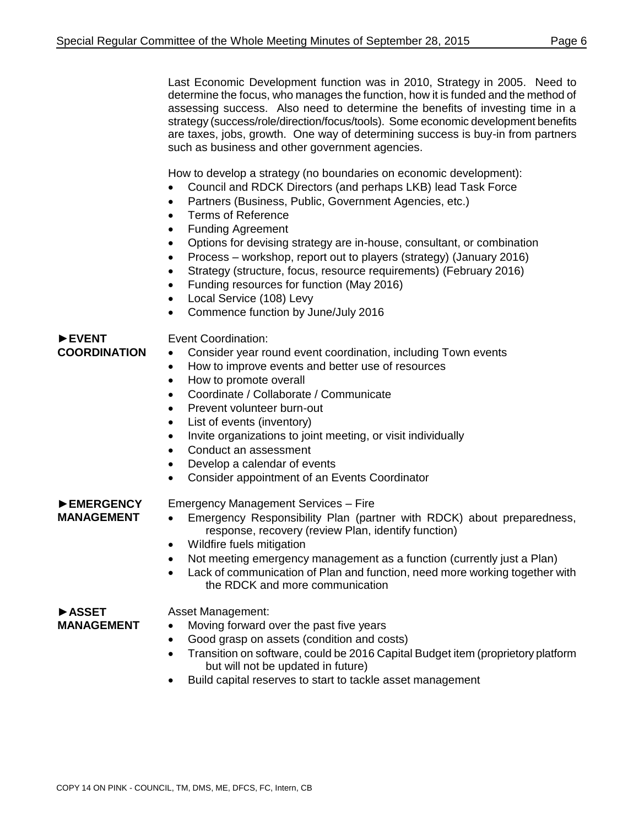Last Economic Development function was in 2010, Strategy in 2005. Need to determine the focus, who manages the function, how it is funded and the method of assessing success. Also need to determine the benefits of investing time in a strategy (success/role/direction/focus/tools). Some economic development benefits are taxes, jobs, growth. One way of determining success is buy-in from partners such as business and other government agencies.

How to develop a strategy (no boundaries on economic development):

- Council and RDCK Directors (and perhaps LKB) lead Task Force
- Partners (Business, Public, Government Agencies, etc.)
- Terms of Reference
- Funding Agreement
- Options for devising strategy are in-house, consultant, or combination
- Process workshop, report out to players (strategy) (January 2016)
- Strategy (structure, focus, resource requirements) (February 2016)
- Funding resources for function (May 2016)
- Local Service (108) Levy
- Commence function by June/July 2016

#### ►**EVENT COORDINATION** Event Coordination:

- Consider year round event coordination, including Town events
- How to improve events and better use of resources
- How to promote overall
- Coordinate / Collaborate / Communicate
- Prevent volunteer burn-out
- List of events (inventory)
- Invite organizations to joint meeting, or visit individually
- Conduct an assessment
- Develop a calendar of events
- Consider appointment of an Events Coordinator

►**EMERGENCY MANAGEMENT**

## Emergency Management Services – Fire

- Emergency Responsibility Plan (partner with RDCK) about preparedness, response, recovery (review Plan, identify function)
- Wildfire fuels mitigation
- Not meeting emergency management as a function (currently just a Plan)
- Lack of communication of Plan and function, need more working together with the RDCK and more communication

#### ►**ASSET MANAGEMENT**

## Asset Management:

- Moving forward over the past five years
- Good grasp on assets (condition and costs)
- Transition on software, could be 2016 Capital Budget item (proprietory platform but will not be updated in future)
- Build capital reserves to start to tackle asset management